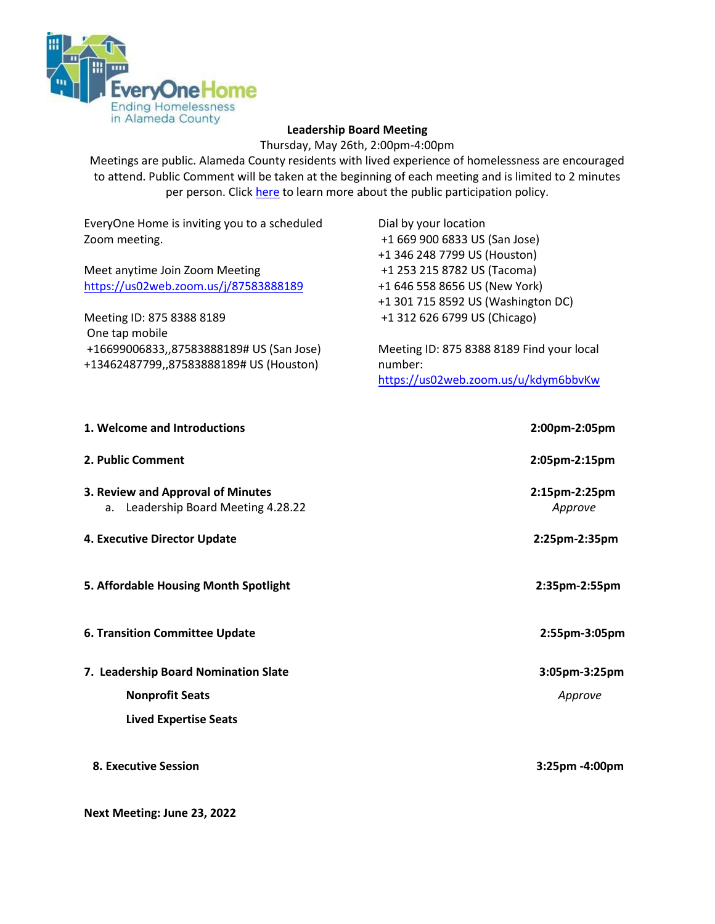

#### **Leadership Board Meeting**

Thursday, May 26th, 2:00pm-4:00pm

Meetings are public. Alameda County residents with lived experience of homelessness are encouraged to attend. Public Comment will be taken at the beginning of each meeting and is limited to 2 minutes per person. Click [here](https://everyonehome.org/wp-content/uploads/2020/07/Public-Participation-Policy.pdf) to learn more about the public participation policy.

EveryOne Home is inviting you to a scheduled Zoom meeting.

Meet anytime Join Zoom Meeting [https://us02web.zoom.us/j/87583888189](https://www.google.com/url?q=https://us02web.zoom.us/j/87583888189&sa=D&source=calendar&ust=1650926329899523&usg=AOvVaw1eV6jp4t5xq32CPAIp8Gg2)

Meeting ID: 875 8388 8189 One tap mobile +16699006833,,87583888189# US (San Jose) +13462487799,,87583888189# US (Houston)

Dial by your location +1 669 900 6833 US (San Jose) +1 346 248 7799 US (Houston) +1 253 215 8782 US (Tacoma) +1 646 558 8656 US (New York) +1 301 715 8592 US (Washington DC) +1 312 626 6799 US (Chicago)

Meeting ID: 875 8388 8189 Find your local number: [https://us02web.zoom.us/u/kdym6bbvKw](https://www.google.com/url?q=https://us02web.zoom.us/u/kdym6bbvKw&sa=D&source=calendar&ust=1650926329899523&usg=AOvVaw1YgOo5FOspH-jsrcVOu4bY)

| 1. Welcome and Introductions                                             | 2:00pm-2:05pm            |
|--------------------------------------------------------------------------|--------------------------|
| 2. Public Comment                                                        | 2:05pm-2:15pm            |
| 3. Review and Approval of Minutes<br>a. Leadership Board Meeting 4.28.22 | 2:15pm-2:25pm<br>Approve |
| 4. Executive Director Update                                             | 2:25pm-2:35pm            |
| 5. Affordable Housing Month Spotlight                                    | 2:35pm-2:55pm            |
| <b>6. Transition Committee Update</b>                                    | 2:55pm-3:05pm            |
| 7. Leadership Board Nomination Slate                                     | 3:05pm-3:25pm            |
| <b>Nonprofit Seats</b>                                                   | Approve                  |
| <b>Lived Expertise Seats</b>                                             |                          |
| <b>8. Executive Session</b>                                              | 3:25pm -4:00pm           |

**Next Meeting: June 23, 2022**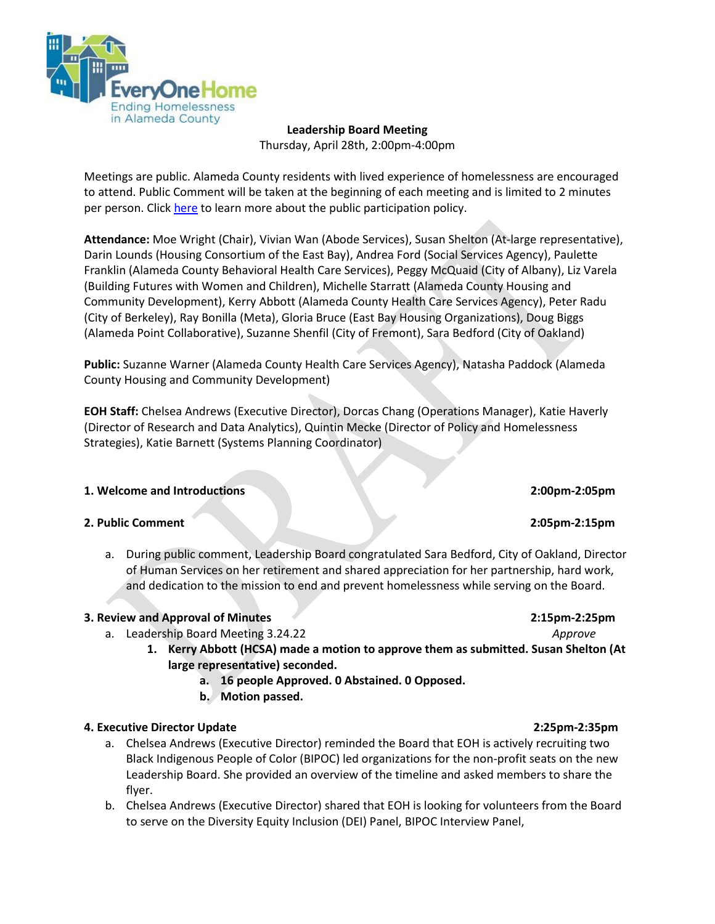

**Leadership Board Meeting**  Thursday, April 28th, 2:00pm-4:00pm

Meetings are public. Alameda County residents with lived experience of homelessness are encouraged to attend. Public Comment will be taken at the beginning of each meeting and is limited to 2 minutes per person. Click [here](https://everyonehome.org/wp-content/uploads/2020/07/Public-Participation-Policy.pdf) to learn more about the public participation policy.

**Attendance:** Moe Wright (Chair), Vivian Wan (Abode Services), Susan Shelton (At-large representative), Darin Lounds (Housing Consortium of the East Bay), Andrea Ford (Social Services Agency), Paulette Franklin (Alameda County Behavioral Health Care Services), Peggy McQuaid (City of Albany), Liz Varela (Building Futures with Women and Children), Michelle Starratt (Alameda County Housing and Community Development), Kerry Abbott (Alameda County Health Care Services Agency), Peter Radu (City of Berkeley), Ray Bonilla (Meta), Gloria Bruce (East Bay Housing Organizations), Doug Biggs (Alameda Point Collaborative), Suzanne Shenfil (City of Fremont), Sara Bedford (City of Oakland)

**Public:** Suzanne Warner (Alameda County Health Care Services Agency), Natasha Paddock (Alameda County Housing and Community Development)

**EOH Staff:** Chelsea Andrews (Executive Director), Dorcas Chang (Operations Manager), Katie Haverly (Director of Research and Data Analytics), Quintin Mecke (Director of Policy and Homelessness Strategies), Katie Barnett (Systems Planning Coordinator)

#### **1. Welcome and Introductions 2:00pm-2:05pm**

#### **2. Public Comment 2:05pm-2:15pm**

a. During public comment, Leadership Board congratulated Sara Bedford, City of Oakland, Director of Human Services on her retirement and shared appreciation for her partnership, hard work, and dedication to the mission to end and prevent homelessness while serving on the Board.

#### **3. Review and Approval of Minutes 2:15pm-2:25pm**

- a. Leadership Board Meeting 3.24.22 *Approve*
	- **1. Kerry Abbott (HCSA) made a motion to approve them as submitted. Susan Shelton (At large representative) seconded.** 
		- **a. 16 people Approved. 0 Abstained. 0 Opposed.**
		- **b. Motion passed.**

#### **4. Executive Director Update 2:25pm-2:35pm**

- a. Chelsea Andrews (Executive Director) reminded the Board that EOH is actively recruiting two Black Indigenous People of Color (BIPOC) led organizations for the non-profit seats on the new Leadership Board. She provided an overview of the timeline and asked members to share the flyer.
- b. Chelsea Andrews (Executive Director) shared that EOH is looking for volunteers from the Board to serve on the Diversity Equity Inclusion (DEI) Panel, BIPOC Interview Panel,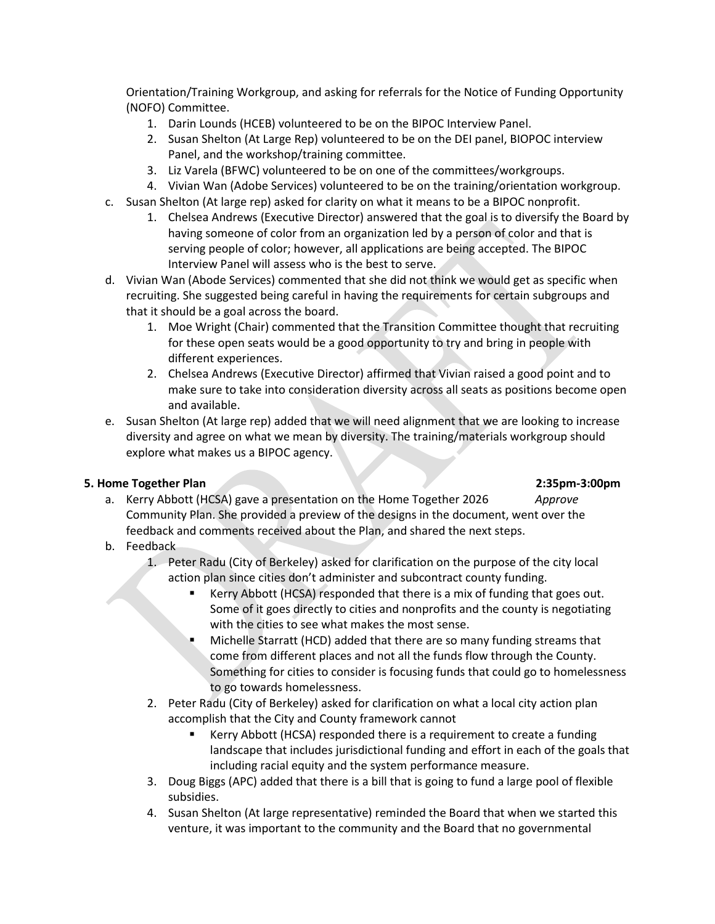Orientation/Training Workgroup, and asking for referrals for the Notice of Funding Opportunity (NOFO) Committee.

- 1. Darin Lounds (HCEB) volunteered to be on the BIPOC Interview Panel.
- 2. Susan Shelton (At Large Rep) volunteered to be on the DEI panel, BIOPOC interview Panel, and the workshop/training committee.
- 3. Liz Varela (BFWC) volunteered to be on one of the committees/workgroups.
- 4. Vivian Wan (Adobe Services) volunteered to be on the training/orientation workgroup.
- c. Susan Shelton (At large rep) asked for clarity on what it means to be a BIPOC nonprofit.
	- 1. Chelsea Andrews (Executive Director) answered that the goal is to diversify the Board by having someone of color from an organization led by a person of color and that is serving people of color; however, all applications are being accepted. The BIPOC Interview Panel will assess who is the best to serve.
- d. Vivian Wan (Abode Services) commented that she did not think we would get as specific when recruiting. She suggested being careful in having the requirements for certain subgroups and that it should be a goal across the board.
	- 1. Moe Wright (Chair) commented that the Transition Committee thought that recruiting for these open seats would be a good opportunity to try and bring in people with different experiences.
	- 2. Chelsea Andrews (Executive Director) affirmed that Vivian raised a good point and to make sure to take into consideration diversity across all seats as positions become open and available.
- e. Susan Shelton (At large rep) added that we will need alignment that we are looking to increase diversity and agree on what we mean by diversity. The training/materials workgroup should explore what makes us a BIPOC agency.

### **5. Home Together Plan 2:35pm-3:00pm**

- a. Kerry Abbott (HCSA) gave a presentation on the Home Together 2026 *Approve* Community Plan. She provided a preview of the designs in the document, went over the feedback and comments received about the Plan, and shared the next steps.
- b. Feedback

1. Peter Radu (City of Berkeley) asked for clarification on the purpose of the city local action plan since cities don't administer and subcontract county funding.

- Kerry Abbott (HCSA) responded that there is a mix of funding that goes out. Some of it goes directly to cities and nonprofits and the county is negotiating with the cities to see what makes the most sense.
- Michelle Starratt (HCD) added that there are so many funding streams that come from different places and not all the funds flow through the County. Something for cities to consider is focusing funds that could go to homelessness to go towards homelessness.
- 2. Peter Radu (City of Berkeley) asked for clarification on what a local city action plan accomplish that the City and County framework cannot
	- Kerry Abbott (HCSA) responded there is a requirement to create a funding landscape that includes jurisdictional funding and effort in each of the goals that including racial equity and the system performance measure.
- 3. Doug Biggs (APC) added that there is a bill that is going to fund a large pool of flexible subsidies.
- 4. Susan Shelton (At large representative) reminded the Board that when we started this venture, it was important to the community and the Board that no governmental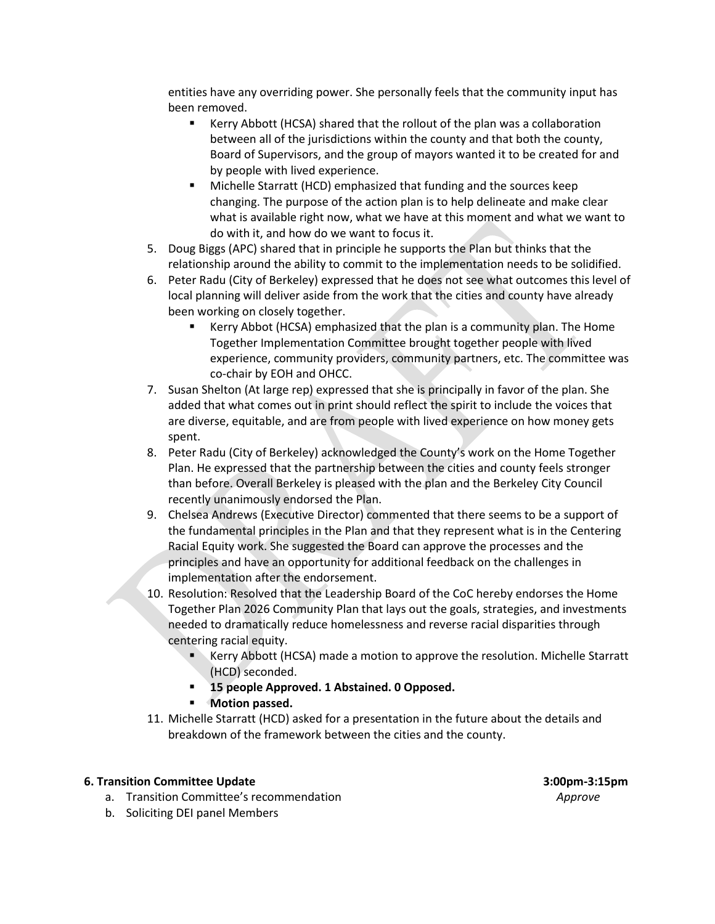entities have any overriding power. She personally feels that the community input has been removed.

- Kerry Abbott (HCSA) shared that the rollout of the plan was a collaboration between all of the jurisdictions within the county and that both the county, Board of Supervisors, and the group of mayors wanted it to be created for and by people with lived experience.
- Michelle Starratt (HCD) emphasized that funding and the sources keep changing. The purpose of the action plan is to help delineate and make clear what is available right now, what we have at this moment and what we want to do with it, and how do we want to focus it.
- 5. Doug Biggs (APC) shared that in principle he supports the Plan but thinks that the relationship around the ability to commit to the implementation needs to be solidified.
- 6. Peter Radu (City of Berkeley) expressed that he does not see what outcomes this level of local planning will deliver aside from the work that the cities and county have already been working on closely together.
	- Kerry Abbot (HCSA) emphasized that the plan is a community plan. The Home Together Implementation Committee brought together people with lived experience, community providers, community partners, etc. The committee was co-chair by EOH and OHCC.
- 7. Susan Shelton (At large rep) expressed that she is principally in favor of the plan. She added that what comes out in print should reflect the spirit to include the voices that are diverse, equitable, and are from people with lived experience on how money gets spent.
- 8. Peter Radu (City of Berkeley) acknowledged the County's work on the Home Together Plan. He expressed that the partnership between the cities and county feels stronger than before. Overall Berkeley is pleased with the plan and the Berkeley City Council recently unanimously endorsed the Plan.
- 9. Chelsea Andrews (Executive Director) commented that there seems to be a support of the fundamental principles in the Plan and that they represent what is in the Centering Racial Equity work. She suggested the Board can approve the processes and the principles and have an opportunity for additional feedback on the challenges in implementation after the endorsement.
- 10. Resolution: Resolved that the Leadership Board of the CoC hereby endorses the Home Together Plan 2026 Community Plan that lays out the goals, strategies, and investments needed to dramatically reduce homelessness and reverse racial disparities through centering racial equity.
	- Kerry Abbott (HCSA) made a motion to approve the resolution. Michelle Starratt (HCD) seconded.
	- **15 people Approved. 1 Abstained. 0 Opposed.**
	- **Motion passed.**
- 11. Michelle Starratt (HCD) asked for a presentation in the future about the details and breakdown of the framework between the cities and the county.

#### **6. Transition Committee Update 3:00pm-3:15pm**

a. Transition Committee's recommendation *Approve* 

b. Soliciting DEI panel Members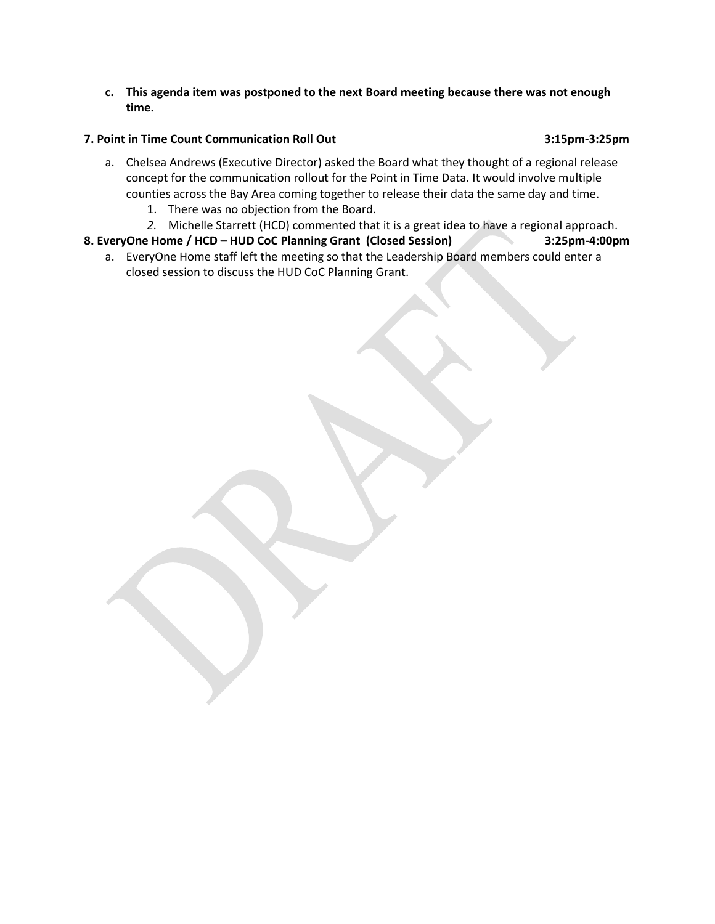**c. This agenda item was postponed to the next Board meeting because there was not enough time.** 

#### **7. Point in Time Count Communication Roll Out 3:15pm-3:25pm**

- a. Chelsea Andrews (Executive Director) asked the Board what they thought of a regional release concept for the communication rollout for the Point in Time Data. It would involve multiple counties across the Bay Area coming together to release their data the same day and time.
	- 1. There was no objection from the Board.
	- *2.* Michelle Starrett (HCD) commented that it is a great idea to have a regional approach.

## **8. EveryOne Home / HCD – HUD CoC Planning Grant (Closed Session) 3:25pm-4:00pm**

a. EveryOne Home staff left the meeting so that the Leadership Board members could enter a closed session to discuss the HUD CoC Planning Grant.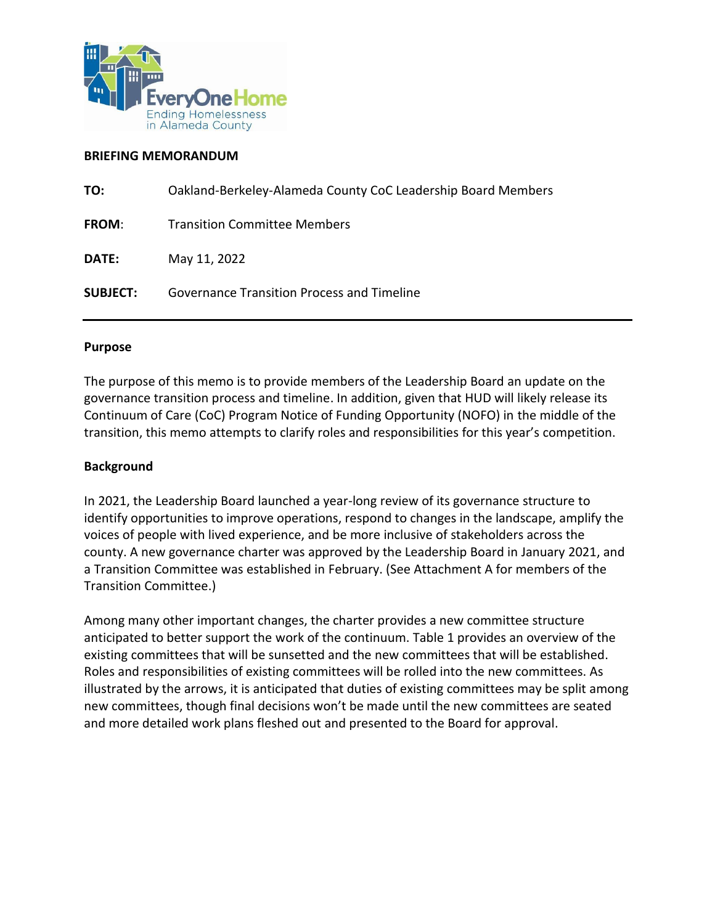

#### **BRIEFING MEMORANDUM**

| Oakland-Berkeley-Alameda County CoC Leadership Board Members |
|--------------------------------------------------------------|
| <b>Transition Committee Members</b>                          |
| May 11, 2022                                                 |
| <b>Governance Transition Process and Timeline</b>            |
|                                                              |

### **Purpose**

The purpose of this memo is to provide members of the Leadership Board an update on the governance transition process and timeline. In addition, given that HUD will likely release its Continuum of Care (CoC) Program Notice of Funding Opportunity (NOFO) in the middle of the transition, this memo attempts to clarify roles and responsibilities for this year's competition.

### **Background**

In 2021, the Leadership Board launched a year-long review of its governance structure to identify opportunities to improve operations, respond to changes in the landscape, amplify the voices of people with lived experience, and be more inclusive of stakeholders across the county. A new governance charter was approved by the Leadership Board in January 2021, and a Transition Committee was established in February. (See Attachment A for members of the Transition Committee.)

Among many other important changes, the charter provides a new committee structure anticipated to better support the work of the continuum. Table 1 provides an overview of the existing committees that will be sunsetted and the new committees that will be established. Roles and responsibilities of existing committees will be rolled into the new committees. As illustrated by the arrows, it is anticipated that duties of existing committees may be split among new committees, though final decisions won't be made until the new committees are seated and more detailed work plans fleshed out and presented to the Board for approval.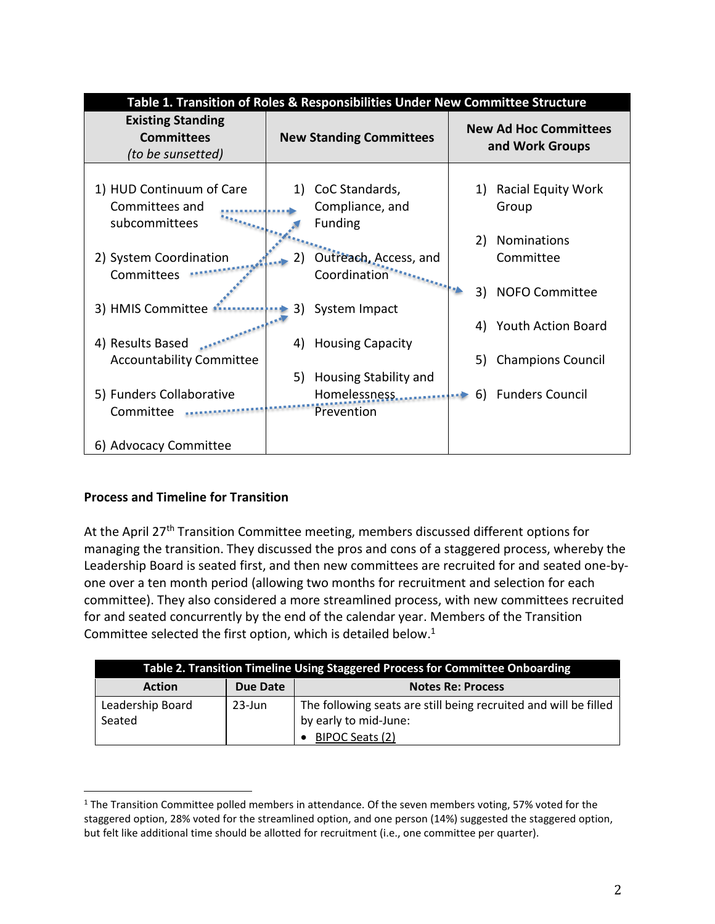|                                                                    | Table 1. Transition of Roles & Responsibilities Under New Committee Structure |                                                 |  |
|--------------------------------------------------------------------|-------------------------------------------------------------------------------|-------------------------------------------------|--|
| <b>Existing Standing</b><br><b>Committees</b><br>(to be sunsetted) | <b>New Standing Committees</b>                                                | <b>New Ad Hoc Committees</b><br>and Work Groups |  |
| 1) HUD Continuum of Care<br>Committees and<br>subcommittees        | CoC Standards,<br>1)<br>Compliance, and<br><b>Funding</b>                     | <b>Racial Equity Work</b><br>1)<br>Group        |  |
| 2) System Coordination<br>Committees                               | Outreach, Access, and<br>2)<br>Coordination                                   | Nominations<br>2)<br>Committee                  |  |
| 3) HMIS Committee                                                  | System Impact<br>3)                                                           | 3)<br><b>NOFO Committee</b>                     |  |
| 4) Results Based                                                   | <b>Housing Capacity</b><br>4)                                                 | <b>Youth Action Board</b><br>4)                 |  |
| <b>Accountability Committee</b>                                    | Housing Stability and<br>5)                                                   | <b>Champions Council</b><br>5)                  |  |
| 5) Funders Collaborative<br>Committee                              | Homelessness<br>Prevention                                                    | <b>Funders Council</b><br>6)                    |  |
| 6) Advocacy Committee                                              |                                                                               |                                                 |  |

# **Process and Timeline for Transition**

At the April 27<sup>th</sup> Transition Committee meeting, members discussed different options for managing the transition. They discussed the pros and cons of a staggered process, whereby the Leadership Board is seated first, and then new committees are recruited for and seated one-byone over a ten month period (allowing two months for recruitment and selection for each committee). They also considered a more streamlined process, with new committees recruited for and seated concurrently by the end of the calendar year. Members of the Transition Committee selected the first option, which is detailed below. $1$ 

| <b>Table 2. Transition Timeline Using Staggered Process for Committee Onboarding</b> |          |                                                                  |
|--------------------------------------------------------------------------------------|----------|------------------------------------------------------------------|
| <b>Action</b>                                                                        | Due Date | <b>Notes Re: Process</b>                                         |
| Leadership Board                                                                     | 23-Jun   | The following seats are still being recruited and will be filled |
| Seated                                                                               |          | by early to mid-June:                                            |
|                                                                                      |          | • BIPOC Seats (2)                                                |

<sup>&</sup>lt;sup>1</sup> The Transition Committee polled members in attendance. Of the seven members voting, 57% voted for the staggered option, 28% voted for the streamlined option, and one person (14%) suggested the staggered option, but felt like additional time should be allotted for recruitment (i.e., one committee per quarter).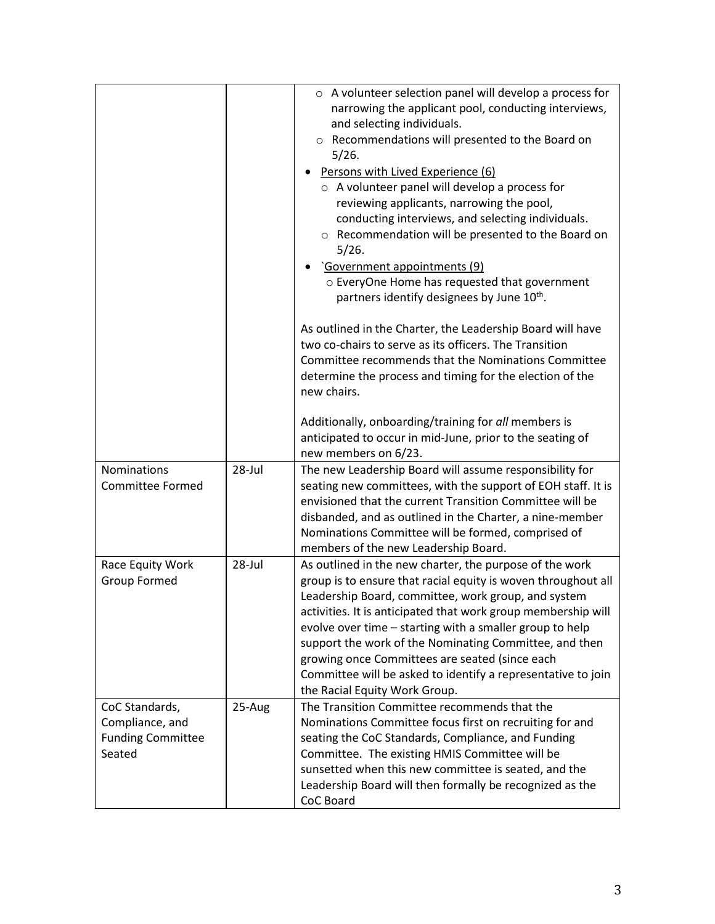|                                                                         |        | $\circ$ A volunteer selection panel will develop a process for<br>narrowing the applicant pool, conducting interviews,<br>and selecting individuals.<br>o Recommendations will presented to the Board on<br>5/26.<br>• Persons with Lived Experience (6)<br>$\circ$ A volunteer panel will develop a process for<br>reviewing applicants, narrowing the pool,<br>conducting interviews, and selecting individuals.<br>○ Recommendation will be presented to the Board on<br>5/26.<br>'Government appointments (9)<br>o EveryOne Home has requested that government<br>partners identify designees by June 10 <sup>th</sup> . |
|-------------------------------------------------------------------------|--------|------------------------------------------------------------------------------------------------------------------------------------------------------------------------------------------------------------------------------------------------------------------------------------------------------------------------------------------------------------------------------------------------------------------------------------------------------------------------------------------------------------------------------------------------------------------------------------------------------------------------------|
|                                                                         |        | As outlined in the Charter, the Leadership Board will have<br>two co-chairs to serve as its officers. The Transition<br>Committee recommends that the Nominations Committee<br>determine the process and timing for the election of the<br>new chairs.                                                                                                                                                                                                                                                                                                                                                                       |
|                                                                         |        | Additionally, onboarding/training for all members is<br>anticipated to occur in mid-June, prior to the seating of<br>new members on 6/23.                                                                                                                                                                                                                                                                                                                                                                                                                                                                                    |
| <b>Nominations</b><br><b>Committee Formed</b>                           | 28-Jul | The new Leadership Board will assume responsibility for<br>seating new committees, with the support of EOH staff. It is<br>envisioned that the current Transition Committee will be<br>disbanded, and as outlined in the Charter, a nine-member<br>Nominations Committee will be formed, comprised of<br>members of the new Leadership Board.                                                                                                                                                                                                                                                                                |
| Race Equity Work<br><b>Group Formed</b>                                 | 28-Jul | As outlined in the new charter, the purpose of the work<br>group is to ensure that racial equity is woven throughout all<br>Leadership Board, committee, work group, and system<br>activities. It is anticipated that work group membership will<br>evolve over time – starting with a smaller group to help<br>support the work of the Nominating Committee, and then<br>growing once Committees are seated (since each<br>Committee will be asked to identify a representative to join<br>the Racial Equity Work Group.                                                                                                    |
| CoC Standards,<br>Compliance, and<br><b>Funding Committee</b><br>Seated | 25-Aug | The Transition Committee recommends that the<br>Nominations Committee focus first on recruiting for and<br>seating the CoC Standards, Compliance, and Funding<br>Committee. The existing HMIS Committee will be<br>sunsetted when this new committee is seated, and the<br>Leadership Board will then formally be recognized as the<br>CoC Board                                                                                                                                                                                                                                                                             |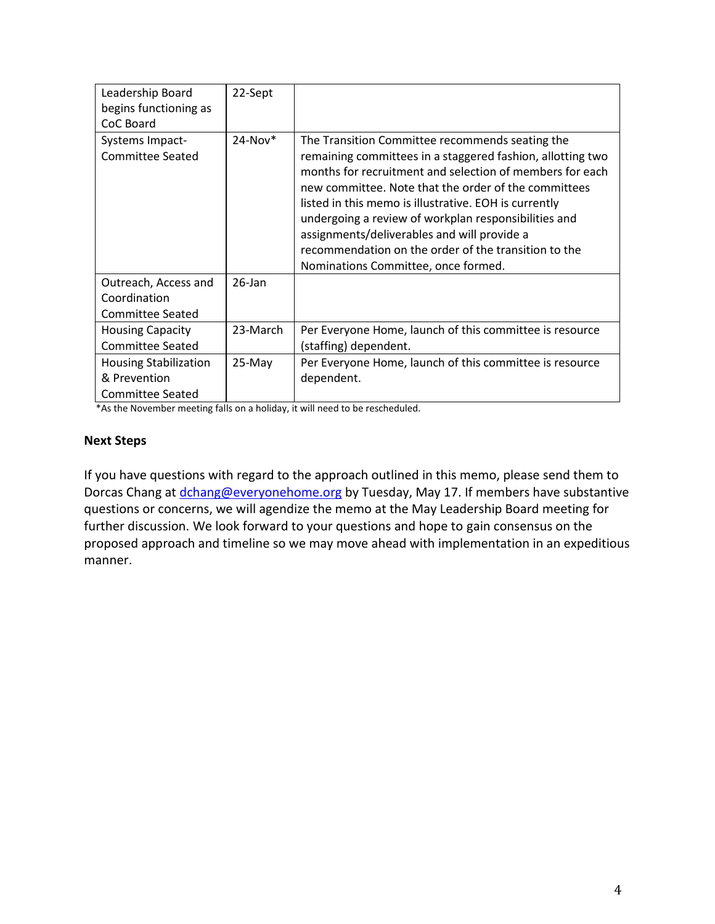| Leadership Board<br>begins functioning as<br>CoC Board | 22-Sept       |                                                                                                                                                                                                                                                                                                                                                                                                                                                                                                  |
|--------------------------------------------------------|---------------|--------------------------------------------------------------------------------------------------------------------------------------------------------------------------------------------------------------------------------------------------------------------------------------------------------------------------------------------------------------------------------------------------------------------------------------------------------------------------------------------------|
| Systems Impact-<br>Committee Seated                    | $24$ -Nov $*$ | The Transition Committee recommends seating the<br>remaining committees in a staggered fashion, allotting two<br>months for recruitment and selection of members for each<br>new committee. Note that the order of the committees<br>listed in this memo is illustrative. EOH is currently<br>undergoing a review of workplan responsibilities and<br>assignments/deliverables and will provide a<br>recommendation on the order of the transition to the<br>Nominations Committee, once formed. |
| Outreach, Access and                                   | $26$ -Jan     |                                                                                                                                                                                                                                                                                                                                                                                                                                                                                                  |
| Coordination                                           |               |                                                                                                                                                                                                                                                                                                                                                                                                                                                                                                  |
| Committee Seated                                       |               |                                                                                                                                                                                                                                                                                                                                                                                                                                                                                                  |
| <b>Housing Capacity</b>                                | 23-March      | Per Everyone Home, launch of this committee is resource                                                                                                                                                                                                                                                                                                                                                                                                                                          |
| <b>Committee Seated</b>                                |               | (staffing) dependent.                                                                                                                                                                                                                                                                                                                                                                                                                                                                            |
| <b>Housing Stabilization</b>                           | 25-May        | Per Everyone Home, launch of this committee is resource                                                                                                                                                                                                                                                                                                                                                                                                                                          |
| & Prevention                                           |               | dependent.                                                                                                                                                                                                                                                                                                                                                                                                                                                                                       |
| <b>Committee Seated</b>                                |               |                                                                                                                                                                                                                                                                                                                                                                                                                                                                                                  |

\*As the November meeting falls on a holiday, it will need to be rescheduled.

### **Next Steps**

If you have questions with regard to the approach outlined in this memo, please send them to Dorcas Chang at [dchang@everyonehome.org](mailto:dchang@everyonehome.org) by Tuesday, May 17. If members have substantive questions or concerns, we will agendize the memo at the May Leadership Board meeting for further discussion. We look forward to your questions and hope to gain consensus on the proposed approach and timeline so we may move ahead with implementation in an expeditious manner.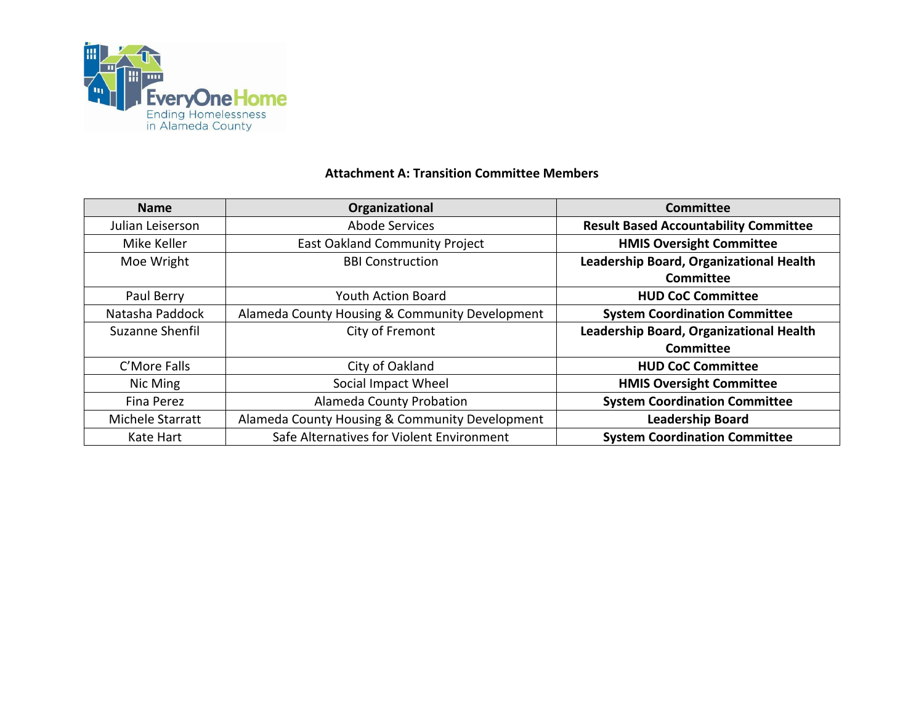

### **Attachment A: Transition Committee Members**

| <b>Name</b>      | Organizational                                 | Committee                                    |
|------------------|------------------------------------------------|----------------------------------------------|
| Julian Leiserson | Abode Services                                 | <b>Result Based Accountability Committee</b> |
| Mike Keller      | <b>East Oakland Community Project</b>          | <b>HMIS Oversight Committee</b>              |
| Moe Wright       | <b>BBI Construction</b>                        | Leadership Board, Organizational Health      |
|                  |                                                | Committee                                    |
| Paul Berry       | <b>Youth Action Board</b>                      | <b>HUD CoC Committee</b>                     |
| Natasha Paddock  | Alameda County Housing & Community Development | <b>System Coordination Committee</b>         |
| Suzanne Shenfil  | City of Fremont                                | Leadership Board, Organizational Health      |
|                  |                                                | Committee                                    |
| C'More Falls     | City of Oakland                                | <b>HUD CoC Committee</b>                     |
| Nic Ming         | Social Impact Wheel                            | <b>HMIS Oversight Committee</b>              |
| Fina Perez       | Alameda County Probation                       | <b>System Coordination Committee</b>         |
| Michele Starratt | Alameda County Housing & Community Development | <b>Leadership Board</b>                      |
| Kate Hart        | Safe Alternatives for Violent Environment      | <b>System Coordination Committee</b>         |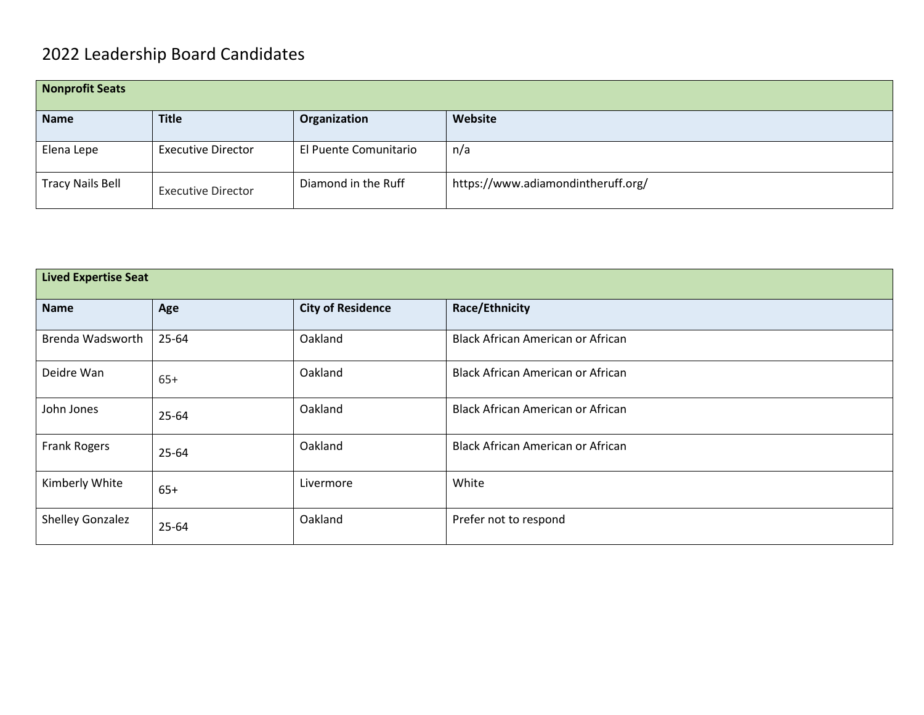# 2022 Leadership Board Candidates

| Nonprofit Seats         |                           |                       |                                    |
|-------------------------|---------------------------|-----------------------|------------------------------------|
| <b>Name</b>             | <b>Title</b>              | Organization          | Website                            |
| Elena Lepe              | <b>Executive Director</b> | El Puente Comunitario | n/a                                |
| <b>Tracy Nails Bell</b> | <b>Executive Director</b> | Diamond in the Ruff   | https://www.adiamondintheruff.org/ |

| <b>Lived Expertise Seat</b> |           |                          |                                          |
|-----------------------------|-----------|--------------------------|------------------------------------------|
| <b>Name</b>                 | Age       | <b>City of Residence</b> | <b>Race/Ethnicity</b>                    |
| Brenda Wadsworth            | 25-64     | Oakland                  | Black African American or African        |
| Deidre Wan                  | $65+$     | Oakland                  | <b>Black African American or African</b> |
| John Jones                  | $25 - 64$ | Oakland                  | <b>Black African American or African</b> |
| Frank Rogers                | 25-64     | Oakland                  | <b>Black African American or African</b> |
| Kimberly White              | $65+$     | Livermore                | White                                    |
| <b>Shelley Gonzalez</b>     | 25-64     | Oakland                  | Prefer not to respond                    |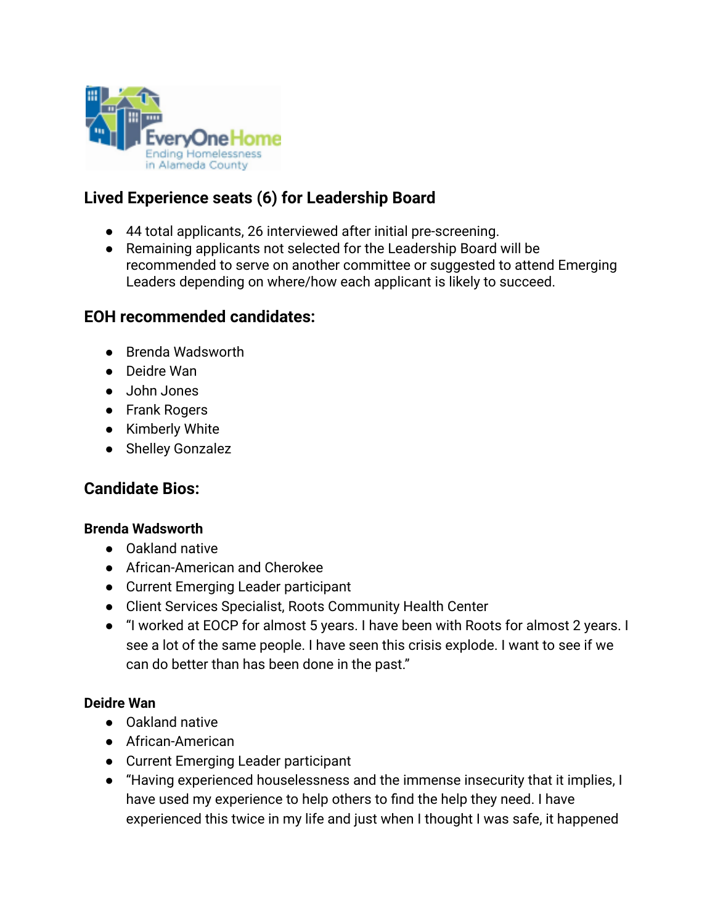

# **Lived Experience seats (6) for Leadership Board**

- 44 total applicants, 26 interviewed after initial pre-screening.
- Remaining applicants not selected for the Leadership Board will be recommended to serve on another committee or suggested to attend Emerging Leaders depending on where/how each applicant is likely to succeed.

# **EOH recommended candidates:**

- Brenda Wadsworth
- Deidre Wan
- John Jones
- Frank Rogers
- Kimberly White
- Shelley Gonzalez

# **Candidate Bios:**

# **Brenda Wadsworth**

- Oakland native
- African-American and Cherokee
- Current Emerging Leader participant
- Client Services Specialist, Roots Community Health Center
- "I worked at EOCP for almost 5 years. I have been with Roots for almost 2 years. I see a lot of the same people. I have seen this crisis explode. I want to see if we can do better than has been done in the past."

# **Deidre Wan**

- Oakland native
- African-American
- Current Emerging Leader participant
- "Having experienced houselessness and the immense insecurity that it implies, I have used my experience to help others to find the help they need. I have experienced this twice in my life and just when I thought I was safe, it happened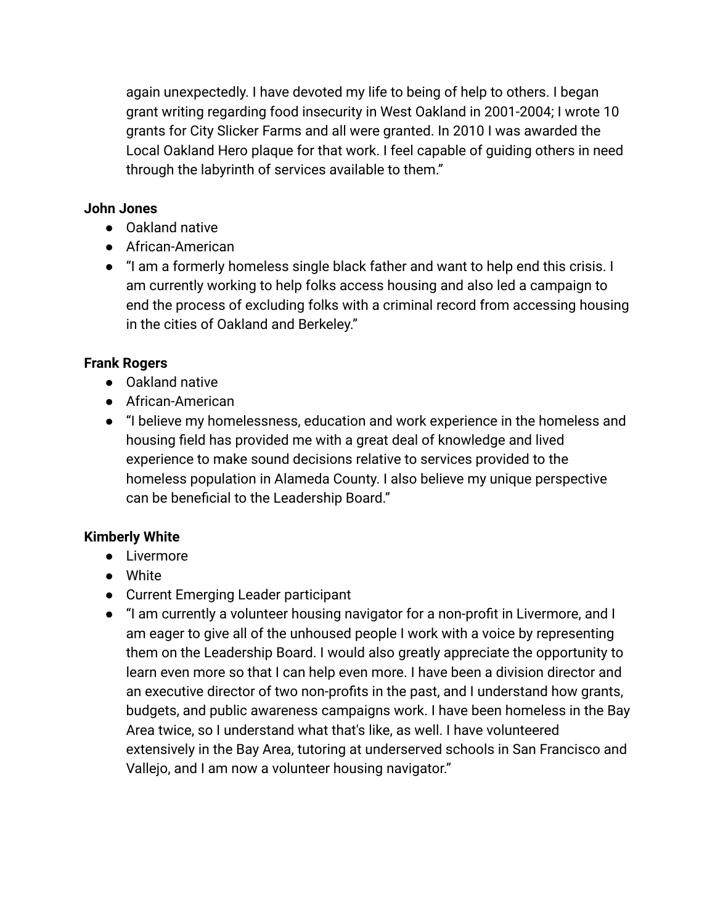again unexpectedly. I have devoted my life to being of help to others. I began grant writing regarding food insecurity in West Oakland in 2001-2004; I wrote 10 grants for City Slicker Farms and all were granted. In 2010 I was awarded the Local Oakland Hero plaque for that work. I feel capable of guiding others in need through the labyrinth of services available to them."

## **John Jones**

- Oakland native
- African-American
- "I am a formerly homeless single black father and want to help end this crisis. I am currently working to help folks access housing and also led a campaign to end the process of excluding folks with a criminal record from accessing housing in the cities of Oakland and Berkeley."

# **Frank Rogers**

- Oakland native
- African-American
- "I believe my homelessness, education and work experience in the homeless and housing field has provided me with a great deal of knowledge and lived experience to make sound decisions relative to services provided to the homeless population in Alameda County. I also believe my unique perspective can be beneficial to the Leadership Board."

# **Kimberly White**

- Livermore
- White
- Current Emerging Leader participant
- "I am currently a volunteer housing navigator for a non-profit in Livermore, and I am eager to give all of the unhoused people I work with a voice by representing them on the Leadership Board. I would also greatly appreciate the opportunity to learn even more so that I can help even more. I have been a division director and an executive director of two non-profits in the past, and I understand how grants, budgets, and public awareness campaigns work. I have been homeless in the Bay Area twice, so I understand what that's like, as well. I have volunteered extensively in the Bay Area, tutoring at underserved schools in San Francisco and Vallejo, and I am now a volunteer housing navigator."